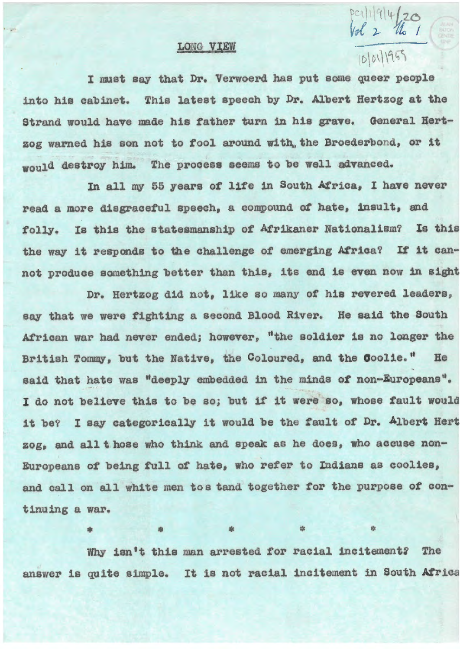## LONG VIEW

## $101011955$

~~{ *)-* fi <sup>I</sup>

 $Dc11|G|uI$ 

I must say that Dr. Verwoerd has put some queer people into his cabinet. This latest speech by Dr. Albert Hertzog at the Strand would have made his father turn in his grave. General Hertzog warned h1s son not to fool around with., the Broederbond, or it would destroy him. The process seems to be well advanced.

In all my 55 years of life in South Africa, I have never read a more disgracetul speech, a compound *ot* hate, insult, and folly. Is this the statesmanship of Afrikaner Nationalism? Is this the way it responds to the challenge of emerging Africa? If it cannot produce something better than this, its end is even now in sight

Dr. Hertzog did not, like so many *ot* his revered leaders, say that we **were** tighting a second Blood River. He said the South African war had never ended; however, "the soldier is no longer the British Tommy, but the Native, the Coloured, and the Coolie." 1 He said that hate was "deeply embedded in the minds of non-Europeans". I do not believe this to be so; but if it were so, whose fault would 1t be? I say oategorioally it would be the fault *ot* Dr. Albert Hert zog, and all t hose who think and speak as he does, who aoouse non-Europeans of being full of hate, who refer to Indians as coolies, and call on all white men to s tand together for the purpose of continuing a war.

Why isn't this man arrested tor racial 1ncitement2 The answer is quite simple. It is not racial incitement in South Africa

• • • • •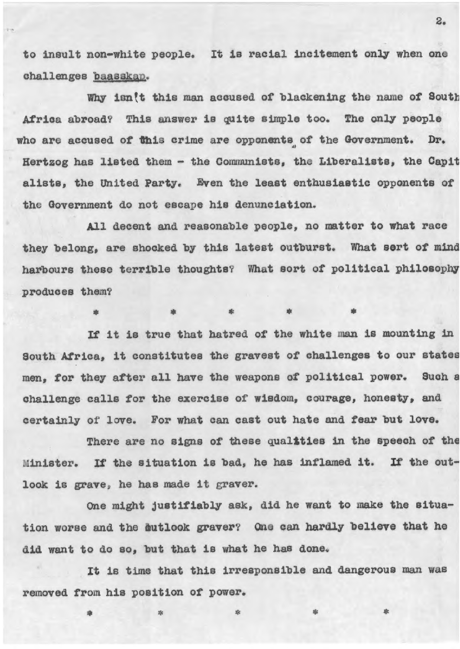to insult non-white people. It 1s racial incitement only when one challenges baasskap.

Why isn<sup>{t</sup> this man accused of blackening the name of South Africa abroad? This answer is quite simple too. The only people who are accused of this crime are opponents of the Government. Dr. Hertzog has listed them - the Communists, the L1beraliats, the Capit alista, the united Party. Even the least enthusiastic opponents *ot*  the Government do not escape his denunciation.

All decent and reasonable people, no matter to what race they belong, are shocked by this latest outburst. What **sort** *ot* mind harbours these terrible thoughts? What sort of political philosophy produces them?

• • • • • If it 1a true that hatred *ot* the white man is mounting 1n South Atrica, it constitutes the gravest *ot* challenges to our **states**  men, tor they after all have the weapons of political power. Such a challenge calls for the exercise of wisdom, courage, honesty, and

certainly or love. For what can cast out hate and tear but love. There are no signs of these qualities in the speech of the

Minister. If the situation is bad, he has inflamed it. If the outlook is grave, he has made it graver.

One might justifiably ask, did he want to make the situation worse and the **dutlook graver?** One can hardly believe that he did want to do so, but that is what he has done.

It is time that this irresponsible and dangerous man was removed trom hie position *ot* power.

• • • • •

2.